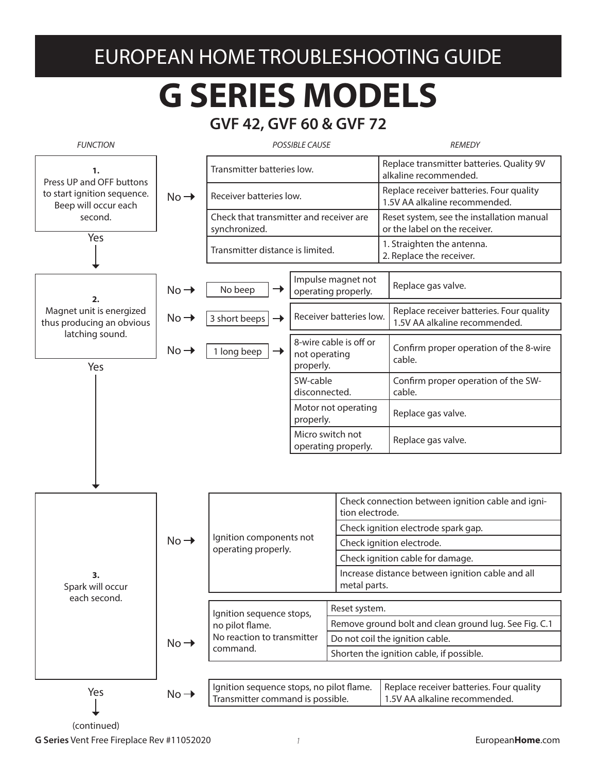EUROPEAN HOME TROUBLESHOOTING GUIDE

## **G SERIES MODELS**



**G Series** Vent Free Fireplace Rev #11052020 **And All 2018 12 and 2018 12 and 2019** European **Home**.com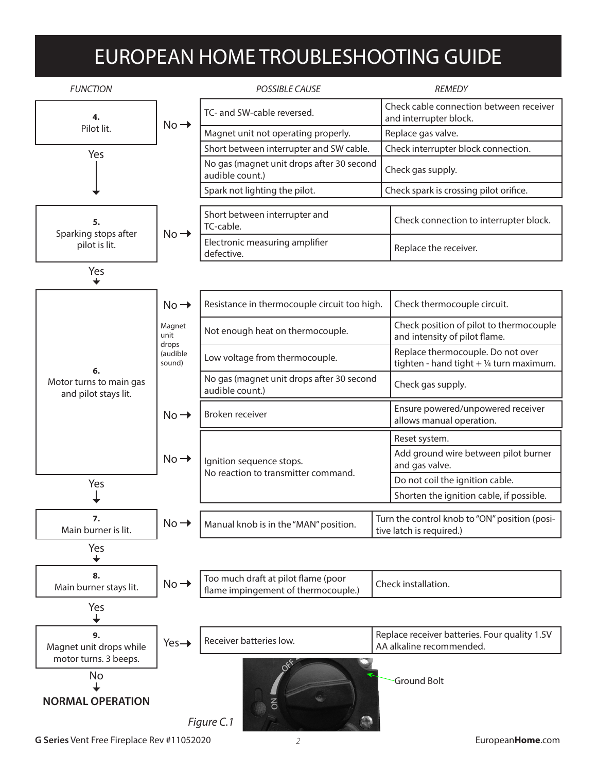## EUROPEAN HOME TROUBLESHOOTING GUIDE